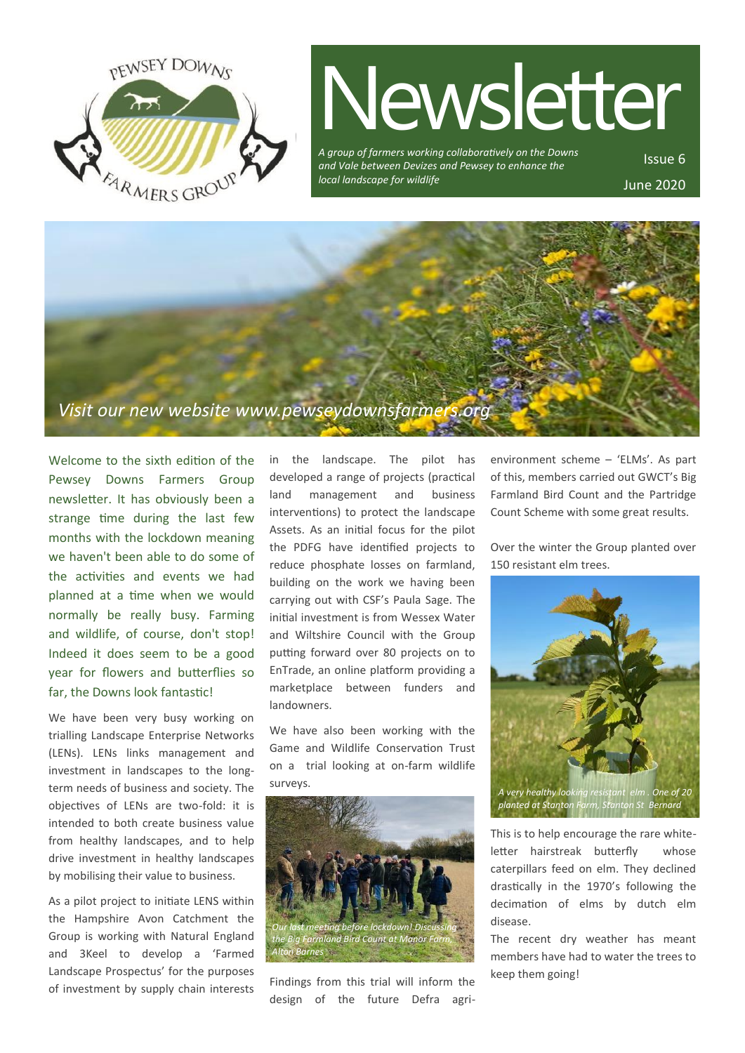

# Newsletter

*A group of farmers working collaboratively on the Downs and Vale between Devizes and Pewsey to enhance the local landscape for wildlife*

Issue 6 June 2020



Welcome to the sixth edition of the Pewsey Downs Farmers Group newsletter. It has obviously been a strange time during the last few months with the lockdown meaning we haven't been able to do some of the activities and events we had planned at a time when we would normally be really busy. Farming and wildlife, of course, don't stop! Indeed it does seem to be a good year for flowers and butterflies so far, the Downs look fantastic!

We have been very busy working on trialling Landscape Enterprise Networks (LENs). LENs links management and investment in landscapes to the longterm needs of business and society. The objectives of LENs are two-fold: it is intended to both create business value from healthy landscapes, and to help drive investment in healthy landscapes by mobilising their value to business.

As a pilot project to initiate LENS within the Hampshire Avon Catchment the Group is working with Natural England and 3Keel to develop a 'Farmed Landscape Prospectus' for the purposes of investment by supply chain interests

in the landscape. The pilot has developed a range of projects (practical land management and business interventions) to protect the landscape Assets. As an initial focus for the pilot the PDFG have identified projects to reduce phosphate losses on farmland, building on the work we having been carrying out with CSF's Paula Sage. The initial investment is from Wessex Water and Wiltshire Council with the Group putting forward over 80 projects on to EnTrade, an online platform providing a marketplace between funders and landowners.

We have also been working with the Game and Wildlife Conservation Trust on a trial looking at on-farm wildlife surveys.



Findings from this trial will inform the design of the future Defra agrienvironment scheme – 'ELMs'. As part of this, members carried out GWCT's Big Farmland Bird Count and the Partridge Count Scheme with some great results.

Over the winter the Group planted over 150 resistant elm trees.



This is to help encourage the rare whiteletter hairstreak butterfly whose caterpillars feed on elm. They declined drastically in the 1970's following the decimation of elms by dutch elm disease.

The recent dry weather has meant members have had to water the trees to keep them going!